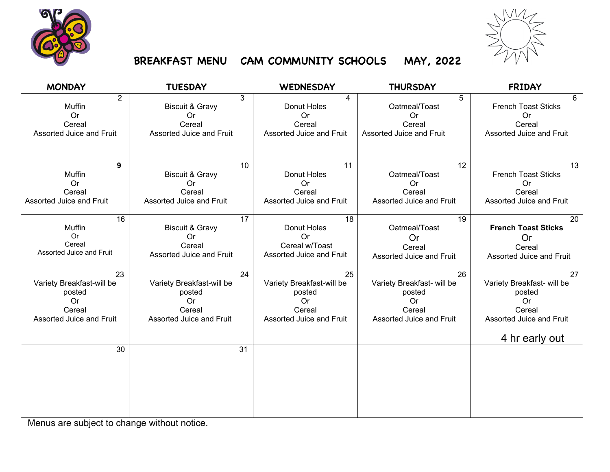



## **BREAKFAST MENU CAM COMMUNITY SCHOOLS MAY, 2022**

| <b>MONDAY</b>             | <b>TUESDAY</b>             | <b>WEDNESDAY</b>          | <b>THURSDAY</b>            | <b>FRIDAY</b>              |
|---------------------------|----------------------------|---------------------------|----------------------------|----------------------------|
| $\overline{2}$            | 3                          | 4                         | 5                          | 6                          |
| Muffin                    | <b>Biscuit &amp; Gravy</b> | Donut Holes               | Oatmeal/Toast              | French Toast Sticks        |
| <b>Or</b>                 | 0r                         | <b>Or</b>                 | <b>Or</b>                  | Or                         |
| Cereal                    | Cereal                     | Cereal                    | Cereal                     | Cereal                     |
| Assorted Juice and Fruit  | Assorted Juice and Fruit   | Assorted Juice and Fruit  | Assorted Juice and Fruit   | Assorted Juice and Fruit   |
|                           |                            |                           |                            |                            |
|                           |                            |                           |                            |                            |
| 9                         | 10                         | 11                        | $\overline{12}$            | 13                         |
| Muffin                    | <b>Biscuit &amp; Gravy</b> | Donut Holes               | Oatmeal/Toast              | French Toast Sticks        |
| <b>Or</b>                 | <b>Or</b>                  | <b>Or</b>                 | <b>Or</b>                  | <b>Or</b>                  |
| Cereal                    | Cereal                     | Cereal                    | Cereal                     | Cereal                     |
| Assorted Juice and Fruit  | Assorted Juice and Fruit   | Assorted Juice and Fruit  | Assorted Juice and Fruit   | Assorted Juice and Fruit   |
| 16                        | 17                         | 18                        | 19                         | 20                         |
| Muffin                    | <b>Biscuit &amp; Gravy</b> | Donut Holes               | Oatmeal/Toast              | <b>French Toast Sticks</b> |
| Or                        | <b>Or</b>                  | Or                        | Or                         | <b>Or</b>                  |
| Cereal                    | Cereal                     | Cereal w/Toast            | Cereal                     | Cereal                     |
| Assorted Juice and Fruit  | Assorted Juice and Fruit   | Assorted Juice and Fruit  | Assorted Juice and Fruit   | Assorted Juice and Fruit   |
| 23                        | 24                         | 25                        | 26                         | 27                         |
| Variety Breakfast-will be | Variety Breakfast-will be  | Variety Breakfast-will be | Variety Breakfast- will be | Variety Breakfast- will be |
| posted                    | posted                     | posted                    | posted                     | posted                     |
| Or                        | Or                         | <b>Or</b>                 | <b>Or</b>                  | Or                         |
| Cereal                    | Cereal                     | Cereal                    | Cereal                     | Cereal                     |
| Assorted Juice and Fruit  | Assorted Juice and Fruit   | Assorted Juice and Fruit  | Assorted Juice and Fruit   | Assorted Juice and Fruit   |
|                           |                            |                           |                            |                            |
|                           |                            |                           |                            | 4 hr early out             |
| 30                        | $\overline{31}$            |                           |                            |                            |
|                           |                            |                           |                            |                            |
|                           |                            |                           |                            |                            |
|                           |                            |                           |                            |                            |
|                           |                            |                           |                            |                            |
|                           |                            |                           |                            |                            |

Menus are subject to change without notice.